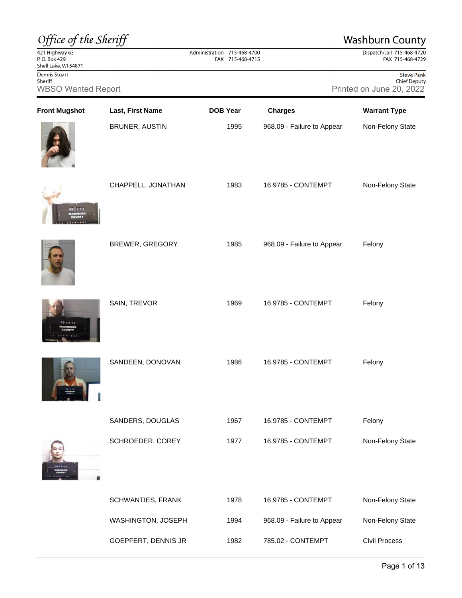| Office of the Sheriff                                  |                        |                                                 |                            | <b>Washburn County</b>                                               |
|--------------------------------------------------------|------------------------|-------------------------------------------------|----------------------------|----------------------------------------------------------------------|
| 421 Highway 63<br>P.O. Box 429<br>Shell Lake, WI 54871 |                        | Administration 715-468-4700<br>FAX 715-468-4715 |                            | Dispatch/Jail 715-468-4720<br>FAX 715-468-4729                       |
| Dennis Stuart<br>Sheriff<br><b>WBSO Wanted Report</b>  |                        |                                                 |                            | <b>Steve Pank</b><br><b>Chief Deputy</b><br>Printed on June 20, 2022 |
| <b>Front Mugshot</b>                                   | Last, First Name       | <b>DOB Year</b>                                 | <b>Charges</b>             | <b>Warrant Type</b>                                                  |
|                                                        | <b>BRUNER, AUSTIN</b>  | 1995                                            | 968.09 - Failure to Appear | Non-Felony State                                                     |
| 15天2月3                                                 | CHAPPELL, JONATHAN     | 1983                                            | 16.9785 - CONTEMPT         | Non-Felony State                                                     |
|                                                        | <b>BREWER, GREGORY</b> | 1985                                            | 968.09 - Failure to Appear | Felony                                                               |
| <b>18.8541</b>                                         | SAIN, TREVOR           | 1969                                            | 16.9785 - CONTEMPT         | Felony                                                               |
|                                                        | SANDEEN, DONOVAN       | 1986                                            | 16.9785 - CONTEMPT         | Felony                                                               |
|                                                        | SANDERS, DOUGLAS       | 1967                                            | 16.9785 - CONTEMPT         | Felony                                                               |
|                                                        | SCHROEDER, COREY       | 1977                                            | 16.9785 - CONTEMPT         | Non-Felony State                                                     |
|                                                        | SCHWANTIES, FRANK      | 1978                                            | 16.9785 - CONTEMPT         | Non-Felony State                                                     |
|                                                        | WASHINGTON, JOSEPH     | 1994                                            | 968.09 - Failure to Appear | Non-Felony State                                                     |
|                                                        | GOEPFERT, DENNIS JR    | 1982                                            | 785.02 - CONTEMPT          | <b>Civil Process</b>                                                 |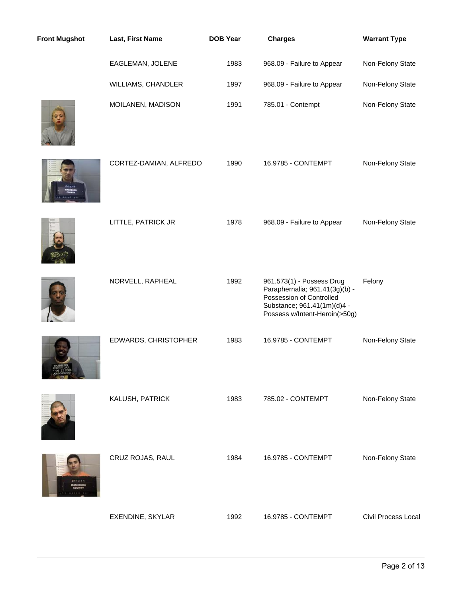| <b>Front Mugshot</b> | Last, First Name       | <b>DOB Year</b> | <b>Charges</b>                                                                                                                                          | <b>Warrant Type</b> |
|----------------------|------------------------|-----------------|---------------------------------------------------------------------------------------------------------------------------------------------------------|---------------------|
|                      | EAGLEMAN, JOLENE       | 1983            | 968.09 - Failure to Appear                                                                                                                              | Non-Felony State    |
|                      | WILLIAMS, CHANDLER     | 1997            | 968.09 - Failure to Appear                                                                                                                              | Non-Felony State    |
|                      | MOILANEN, MADISON      | 1991            | 785.01 - Contempt                                                                                                                                       | Non-Felony State    |
|                      | CORTEZ-DAMIAN, ALFREDO | 1990            | 16.9785 - CONTEMPT                                                                                                                                      | Non-Felony State    |
|                      | LITTLE, PATRICK JR     | 1978            | 968.09 - Failure to Appear                                                                                                                              | Non-Felony State    |
|                      | NORVELL, RAPHEAL       | 1992            | 961.573(1) - Possess Drug<br>Paraphernalia; 961.41(3g)(b) -<br>Possession of Controlled<br>Substance; 961.41(1m)(d)4 -<br>Possess w/Intent-Heroin(>50g) | Felony              |
|                      | EDWARDS, CHRISTOPHER   | 1983            | 16.9785 - CONTEMPT                                                                                                                                      | Non-Felony State    |
|                      | KALUSH, PATRICK        | 1983            | 785.02 - CONTEMPT                                                                                                                                       | Non-Felony State    |
|                      | CRUZ ROJAS, RAUL       | 1984            | 16.9785 - CONTEMPT                                                                                                                                      | Non-Felony State    |
|                      | EXENDINE, SKYLAR       | 1992            | 16.9785 - CONTEMPT                                                                                                                                      | Civil Process Local |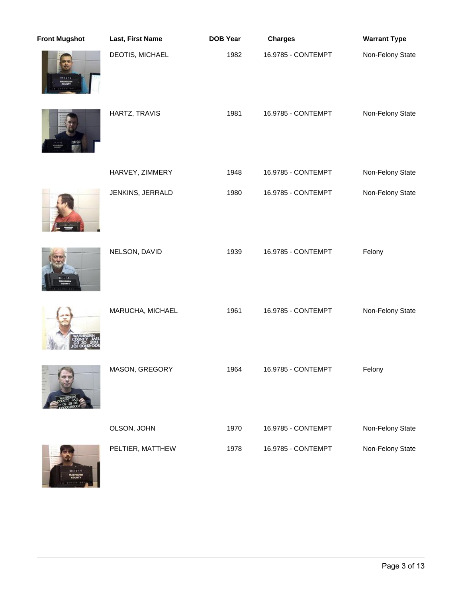| <b>Front Mugshot</b> | Last, First Name | <b>DOB Year</b> | <b>Charges</b>     | <b>Warrant Type</b> |
|----------------------|------------------|-----------------|--------------------|---------------------|
|                      | DEOTIS, MICHAEL  | 1982            | 16.9785 - CONTEMPT | Non-Felony State    |
| Lastr                | HARTZ, TRAVIS    | 1981            | 16.9785 - CONTEMPT | Non-Felony State    |
|                      | HARVEY, ZIMMERY  | 1948            | 16.9785 - CONTEMPT | Non-Felony State    |
|                      | JENKINS, JERRALD | 1980            | 16.9785 - CONTEMPT | Non-Felony State    |
|                      | NELSON, DAVID    | 1939            | 16.9785 - CONTEMPT | Felony              |
|                      | MARUCHA, MICHAEL | 1961            | 16.9785 - CONTEMPT | Non-Felony State    |
|                      | MASON, GREGORY   | 1964            | 16.9785 - CONTEMPT | Felony              |
|                      | OLSON, JOHN      | 1970            | 16.9785 - CONTEMPT | Non-Felony State    |
| 382844               | PELTIER, MATTHEW | 1978            | 16.9785 - CONTEMPT | Non-Felony State    |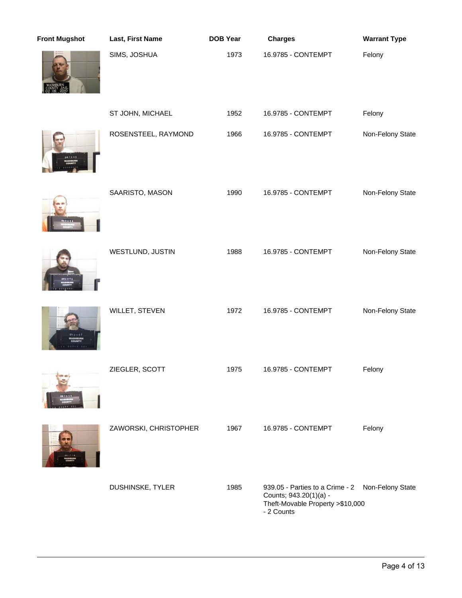| <b>Front Mugshot</b> | Last, First Name      | <b>DOB Year</b> | <b>Charges</b>                                                                                                                | <b>Warrant Type</b> |
|----------------------|-----------------------|-----------------|-------------------------------------------------------------------------------------------------------------------------------|---------------------|
|                      | SIMS, JOSHUA          | 1973            | 16.9785 - CONTEMPT                                                                                                            | Felony              |
|                      | ST JOHN, MICHAEL      | 1952            | 16.9785 - CONTEMPT                                                                                                            | Felony              |
|                      | ROSENSTEEL, RAYMOND   | 1966            | 16.9785 - CONTEMPT                                                                                                            | Non-Felony State    |
|                      | SAARISTO, MASON       | 1990            | 16.9785 - CONTEMPT                                                                                                            | Non-Felony State    |
|                      | WESTLUND, JUSTIN      | 1988            | 16.9785 - CONTEMPT                                                                                                            | Non-Felony State    |
|                      | WILLET, STEVEN        | 1972            | 16.9785 - CONTEMPT                                                                                                            | Non-Felony State    |
|                      | ZIEGLER, SCOTT        | 1975            | 16.9785 - CONTEMPT                                                                                                            | Felony              |
|                      | ZAWORSKI, CHRISTOPHER | 1967            | 16.9785 - CONTEMPT                                                                                                            | Felony              |
|                      | DUSHINSKE, TYLER      | 1985            | 939.05 - Parties to a Crime - 2 Non-Felony State<br>Counts; 943.20(1)(a) -<br>Theft-Movable Property > \$10,000<br>- 2 Counts |                     |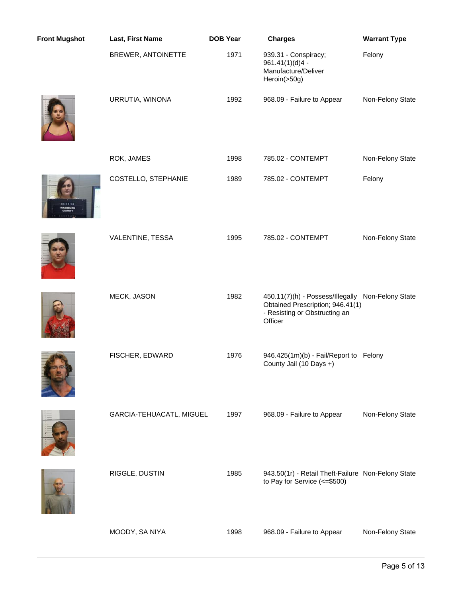| <b>Front Mugshot</b> | Last, First Name         | <b>DOB Year</b> | <b>Charges</b>                                                                                                                    | <b>Warrant Type</b> |
|----------------------|--------------------------|-----------------|-----------------------------------------------------------------------------------------------------------------------------------|---------------------|
|                      | BREWER, ANTOINETTE       | 1971            | 939.31 - Conspiracy;<br>961.41(1)(d)4 -<br>Manufacture/Deliver<br>Heroin(>50g)                                                    | Felony              |
|                      | URRUTIA, WINONA          | 1992            | 968.09 - Failure to Appear                                                                                                        | Non-Felony State    |
|                      | ROK, JAMES               | 1998            | 785.02 - CONTEMPT                                                                                                                 | Non-Felony State    |
|                      | COSTELLO, STEPHANIE      | 1989            | 785.02 - CONTEMPT                                                                                                                 | Felony              |
|                      | VALENTINE, TESSA         | 1995            | 785.02 - CONTEMPT                                                                                                                 | Non-Felony State    |
|                      | MECK, JASON              | 1982            | 450.11(7)(h) - Possess/Illegally Non-Felony State<br>Obtained Prescription; 946.41(1)<br>- Resisting or Obstructing an<br>Officer |                     |
|                      | FISCHER, EDWARD          | 1976            | 946.425(1m)(b) - Fail/Report to Felony<br>County Jail (10 Days +)                                                                 |                     |
|                      | GARCIA-TEHUACATL, MIGUEL | 1997            | 968.09 - Failure to Appear                                                                                                        | Non-Felony State    |
|                      | RIGGLE, DUSTIN           | 1985            | 943.50(1r) - Retail Theft-Failure Non-Felony State<br>to Pay for Service (<=\$500)                                                |                     |
|                      | MOODY, SA NIYA           | 1998            | 968.09 - Failure to Appear                                                                                                        | Non-Felony State    |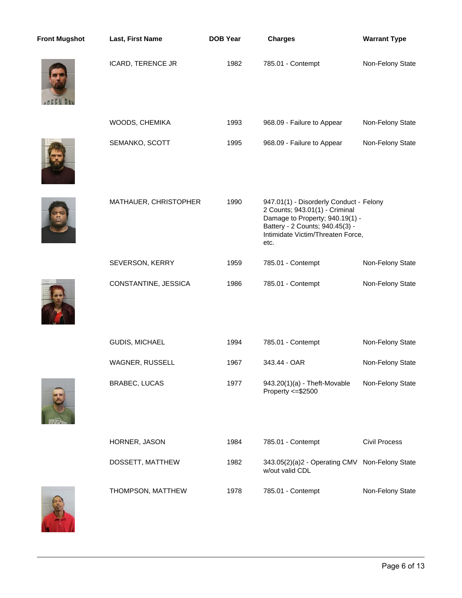| <b>Front Mugshot</b> | Last, First Name      | <b>DOB Year</b> | <b>Charges</b>                                                                                                                                                                               | <b>Warrant Type</b>  |
|----------------------|-----------------------|-----------------|----------------------------------------------------------------------------------------------------------------------------------------------------------------------------------------------|----------------------|
|                      | ICARD, TERENCE JR     | 1982            | 785.01 - Contempt                                                                                                                                                                            | Non-Felony State     |
|                      | WOODS, CHEMIKA        | 1993            | 968.09 - Failure to Appear                                                                                                                                                                   | Non-Felony State     |
|                      | SEMANKO, SCOTT        | 1995            | 968.09 - Failure to Appear                                                                                                                                                                   | Non-Felony State     |
|                      | MATHAUER, CHRISTOPHER | 1990            | 947.01(1) - Disorderly Conduct - Felony<br>2 Counts; 943.01(1) - Criminal<br>Damage to Property; 940.19(1) -<br>Battery - 2 Counts; 940.45(3) -<br>Intimidate Victim/Threaten Force,<br>etc. |                      |
|                      | SEVERSON, KERRY       | 1959            | 785.01 - Contempt                                                                                                                                                                            | Non-Felony State     |
|                      | CONSTANTINE, JESSICA  | 1986            | 785.01 - Contempt                                                                                                                                                                            | Non-Felony State     |
|                      | GUDIS, MICHAEL        | 1994            | 785.01 - Contempt                                                                                                                                                                            | Non-Felony State     |
|                      | WAGNER, RUSSELL       | 1967            | 343.44 - OAR                                                                                                                                                                                 | Non-Felony State     |
|                      | <b>BRABEC, LUCAS</b>  | 1977            | 943.20(1)(a) - Theft-Movable<br>Property <= \$2500                                                                                                                                           | Non-Felony State     |
|                      | HORNER, JASON         | 1984            | 785.01 - Contempt                                                                                                                                                                            | <b>Civil Process</b> |
|                      | DOSSETT, MATTHEW      | 1982            | 343.05(2)(a)2 - Operating CMV Non-Felony State<br>w/out valid CDL                                                                                                                            |                      |
|                      | THOMPSON, MATTHEW     | 1978            | 785.01 - Contempt                                                                                                                                                                            | Non-Felony State     |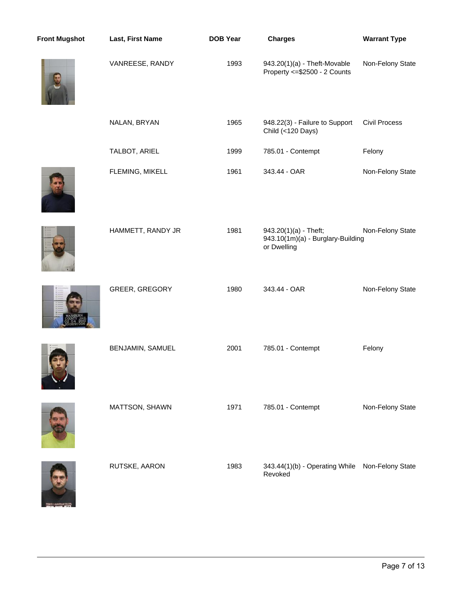| <b>Front Mugshot</b> | Last, First Name  | <b>DOB Year</b> | <b>Charges</b>                                                            | <b>Warrant Type</b>  |
|----------------------|-------------------|-----------------|---------------------------------------------------------------------------|----------------------|
|                      | VANREESE, RANDY   | 1993            | 943.20(1)(a) - Theft-Movable<br>Property <= \$2500 - 2 Counts             | Non-Felony State     |
|                      | NALAN, BRYAN      | 1965            | 948.22(3) - Failure to Support<br>Child (<120 Days)                       | <b>Civil Process</b> |
|                      | TALBOT, ARIEL     | 1999            | 785.01 - Contempt                                                         | Felony               |
|                      | FLEMING, MIKELL   | 1961            | 343.44 - OAR                                                              | Non-Felony State     |
|                      | HAMMETT, RANDY JR | 1981            | 943.20(1)(a) - Theft;<br>943.10(1m)(a) - Burglary-Building<br>or Dwelling | Non-Felony State     |
|                      | GREER, GREGORY    | 1980            | 343.44 - OAR                                                              | Non-Felony State     |
|                      | BENJAMIN, SAMUEL  | 2001            | 785.01 - Contempt                                                         | Felony               |
|                      | MATTSON, SHAWN    | 1971            | 785.01 - Contempt                                                         | Non-Felony State     |
|                      | RUTSKE, AARON     | 1983            | 343.44(1)(b) - Operating While<br>Revoked                                 | Non-Felony State     |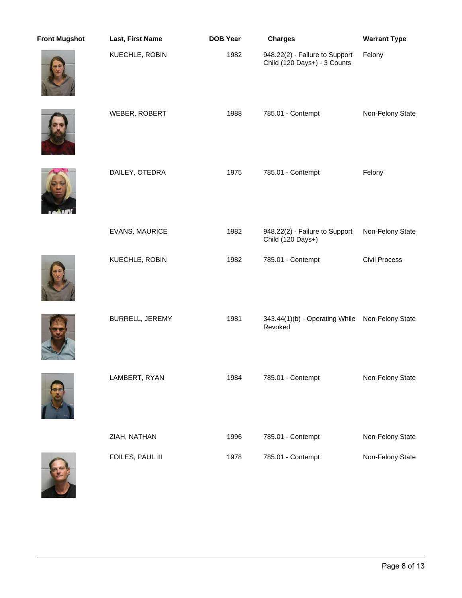| <b>Front Mugshot</b> | Last, First Name | <b>DOB Year</b> | <b>Charges</b>                                                 | <b>Warrant Type</b>  |
|----------------------|------------------|-----------------|----------------------------------------------------------------|----------------------|
|                      | KUECHLE, ROBIN   | 1982            | 948.22(2) - Failure to Support<br>Child (120 Days+) - 3 Counts | Felony               |
|                      | WEBER, ROBERT    | 1988            | 785.01 - Contempt                                              | Non-Felony State     |
|                      | DAILEY, OTEDRA   | 1975            | 785.01 - Contempt                                              | Felony               |
|                      | EVANS, MAURICE   | 1982            | 948.22(2) - Failure to Support<br>Child (120 Days+)            | Non-Felony State     |
|                      | KUECHLE, ROBIN   | 1982            | 785.01 - Contempt                                              | <b>Civil Process</b> |
|                      | BURRELL, JEREMY  | 1981            | 343.44(1)(b) - Operating While Non-Felony State<br>Revoked     |                      |
|                      | LAMBERT, RYAN    | 1984            | 785.01 - Contempt                                              | Non-Felony State     |
|                      | ZIAH, NATHAN     | 1996            | 785.01 - Contempt                                              | Non-Felony State     |
|                      | FOILES, PAUL III | 1978            | 785.01 - Contempt                                              | Non-Felony State     |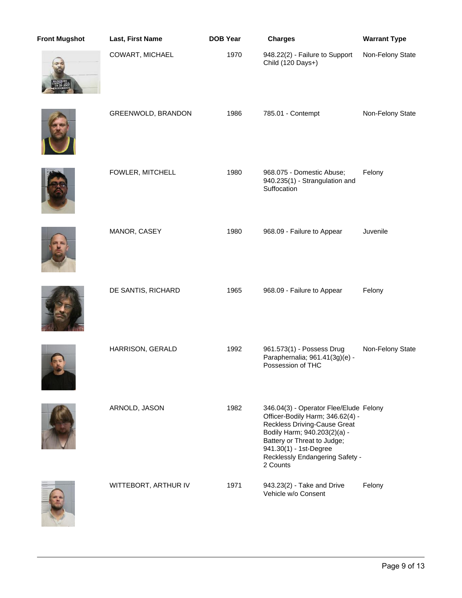| <b>Front Mugshot</b> | Last, First Name     | <b>DOB Year</b> | <b>Charges</b>                                                                                                                                                                                                                                            | <b>Warrant Type</b> |
|----------------------|----------------------|-----------------|-----------------------------------------------------------------------------------------------------------------------------------------------------------------------------------------------------------------------------------------------------------|---------------------|
|                      | COWART, MICHAEL      | 1970            | 948.22(2) - Failure to Support<br>Child (120 Days+)                                                                                                                                                                                                       | Non-Felony State    |
|                      | GREENWOLD, BRANDON   | 1986            | 785.01 - Contempt                                                                                                                                                                                                                                         | Non-Felony State    |
|                      | FOWLER, MITCHELL     | 1980            | 968.075 - Domestic Abuse;<br>940.235(1) - Strangulation and<br>Suffocation                                                                                                                                                                                | Felony              |
|                      | MANOR, CASEY         | 1980            | 968.09 - Failure to Appear                                                                                                                                                                                                                                | Juvenile            |
|                      | DE SANTIS, RICHARD   | 1965            | 968.09 - Failure to Appear                                                                                                                                                                                                                                | Felony              |
|                      | HARRISON, GERALD     | 1992            | 961.573(1) - Possess Drug<br>Paraphernalia; 961.41(3g)(e) -<br>Possession of THC                                                                                                                                                                          | Non-Felony State    |
|                      | ARNOLD, JASON        | 1982            | 346.04(3) - Operator Flee/Elude Felony<br>Officer-Bodily Harm; 346.62(4) -<br><b>Reckless Driving-Cause Great</b><br>Bodily Harm; 940.203(2)(a) -<br>Battery or Threat to Judge;<br>941.30(1) - 1st-Degree<br>Recklessly Endangering Safety -<br>2 Counts |                     |
|                      | WITTEBORT, ARTHUR IV | 1971            | 943.23(2) - Take and Drive<br>Vehicle w/o Consent                                                                                                                                                                                                         | Felony              |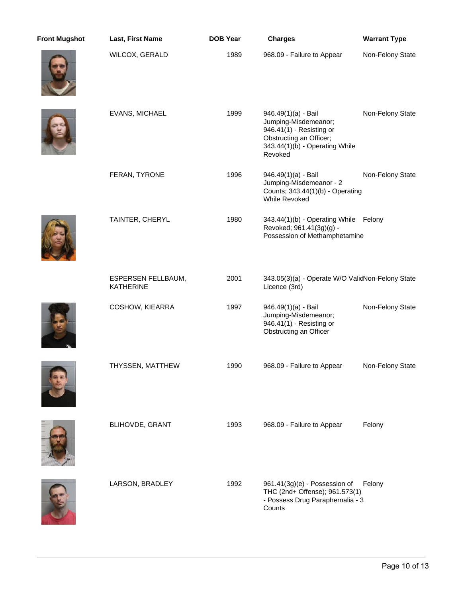| <b>Front Mugshot</b> | Last, First Name                              | <b>DOB Year</b> | <b>Charges</b>                                                                                                                                  | <b>Warrant Type</b> |
|----------------------|-----------------------------------------------|-----------------|-------------------------------------------------------------------------------------------------------------------------------------------------|---------------------|
|                      | WILCOX, GERALD                                | 1989            | 968.09 - Failure to Appear                                                                                                                      | Non-Felony State    |
|                      | EVANS, MICHAEL                                | 1999            | 946.49(1)(a) - Bail<br>Jumping-Misdemeanor;<br>946.41(1) - Resisting or<br>Obstructing an Officer;<br>343.44(1)(b) - Operating While<br>Revoked | Non-Felony State    |
|                      | FERAN, TYRONE                                 | 1996            | 946.49(1)(a) - Bail<br>Jumping-Misdemeanor - 2<br>Counts; 343.44(1)(b) - Operating<br><b>While Revoked</b>                                      | Non-Felony State    |
|                      | TAINTER, CHERYL                               | 1980            | 343.44(1)(b) - Operating While Felony<br>Revoked; 961.41(3g)(g) -<br>Possession of Methamphetamine                                              |                     |
|                      | <b>ESPERSEN FELLBAUM,</b><br><b>KATHERINE</b> | 2001            | 343.05(3)(a) - Operate W/O ValidNon-Felony State<br>Licence (3rd)                                                                               |                     |
|                      | COSHOW, KIEARRA                               | 1997            | 946.49(1)(a) - Bail<br>Jumping-Misdemeanor;<br>946.41(1) - Resisting or<br>Obstructing an Officer                                               | Non-Felony State    |
|                      | THYSSEN, MATTHEW                              | 1990            | 968.09 - Failure to Appear                                                                                                                      | Non-Felony State    |
|                      | BLIHOVDE, GRANT                               | 1993            | 968.09 - Failure to Appear                                                                                                                      | Felony              |
|                      | LARSON, BRADLEY                               | 1992            | 961.41(3g)(e) - Possession of<br>THC (2nd+ Offense); 961.573(1)<br>- Possess Drug Paraphernalia - 3<br>Counts                                   | Felony              |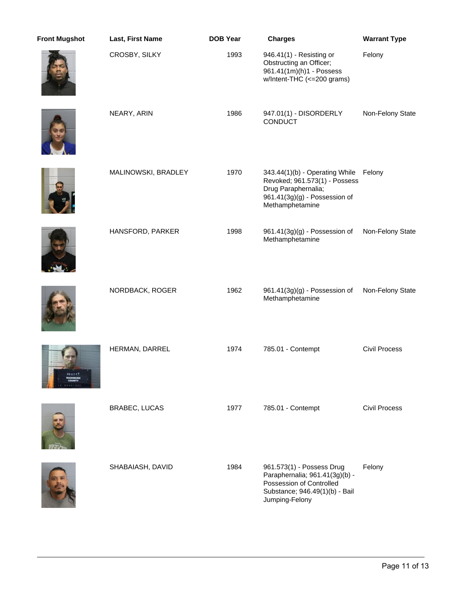| <b>Front Mugshot</b> | Last, First Name    | <b>DOB Year</b> | <b>Charges</b>                                                                                                                              | <b>Warrant Type</b>  |
|----------------------|---------------------|-----------------|---------------------------------------------------------------------------------------------------------------------------------------------|----------------------|
|                      | CROSBY, SILKY       | 1993            | 946.41(1) - Resisting or<br>Obstructing an Officer;<br>961.41(1m)(h)1 - Possess<br>w/Intent-THC (<=200 grams)                               | Felony               |
|                      | NEARY, ARIN         | 1986            | 947.01(1) - DISORDERLY<br><b>CONDUCT</b>                                                                                                    | Non-Felony State     |
|                      | MALINOWSKI, BRADLEY | 1970            | 343.44(1)(b) - Operating While<br>Revoked; 961.573(1) - Possess<br>Drug Paraphernalia;<br>961.41(3g)(g) - Possession of<br>Methamphetamine  | Felony               |
|                      | HANSFORD, PARKER    | 1998            | 961.41(3g)(g) - Possession of<br>Methamphetamine                                                                                            | Non-Felony State     |
|                      | NORDBACK, ROGER     | 1962            | 961.41(3g)(g) - Possession of<br>Methamphetamine                                                                                            | Non-Felony State     |
|                      | HERMAN, DARREL      | 1974            | 785.01 - Contempt                                                                                                                           | <b>Civil Process</b> |
|                      | BRABEC, LUCAS       | 1977            | 785.01 - Contempt                                                                                                                           | <b>Civil Process</b> |
|                      | SHABAIASH, DAVID    | 1984            | 961.573(1) - Possess Drug<br>Paraphernalia; 961.41(3g)(b) -<br>Possession of Controlled<br>Substance; 946.49(1)(b) - Bail<br>Jumping-Felony | Felony               |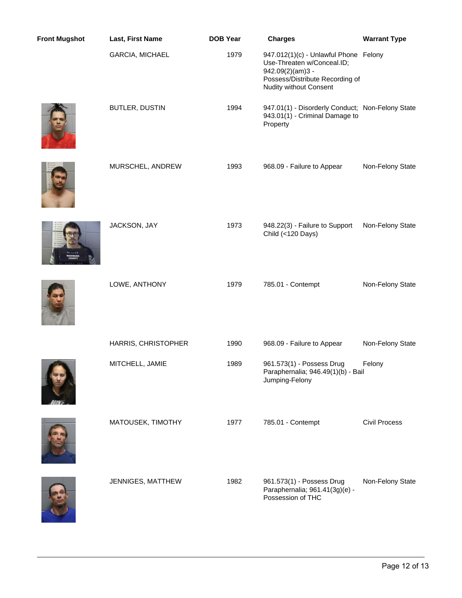| <b>Front Mugshot</b> | Last, First Name    | <b>DOB Year</b> | <b>Charges</b>                                                                                                                                              | <b>Warrant Type</b>  |
|----------------------|---------------------|-----------------|-------------------------------------------------------------------------------------------------------------------------------------------------------------|----------------------|
|                      | GARCIA, MICHAEL     | 1979            | 947.012(1)(c) - Unlawful Phone Felony<br>Use-Threaten w/Conceal.ID;<br>942.09(2)(am)3 -<br>Possess/Distribute Recording of<br><b>Nudity without Consent</b> |                      |
|                      | BUTLER, DUSTIN      | 1994            | 947.01(1) - Disorderly Conduct; Non-Felony State<br>943.01(1) - Criminal Damage to<br>Property                                                              |                      |
|                      | MURSCHEL, ANDREW    | 1993            | 968.09 - Failure to Appear                                                                                                                                  | Non-Felony State     |
|                      | JACKSON, JAY        | 1973            | 948.22(3) - Failure to Support<br>Child (<120 Days)                                                                                                         | Non-Felony State     |
|                      | LOWE, ANTHONY       | 1979            | 785.01 - Contempt                                                                                                                                           | Non-Felony State     |
|                      | HARRIS, CHRISTOPHER | 1990            | 968.09 - Failure to Appear                                                                                                                                  | Non-Felony State     |
|                      | MITCHELL, JAMIE     | 1989            | 961.573(1) - Possess Drug<br>Paraphernalia; 946.49(1)(b) - Bail<br>Jumping-Felony                                                                           | Felony               |
|                      | MATOUSEK, TIMOTHY   | 1977            | 785.01 - Contempt                                                                                                                                           | <b>Civil Process</b> |
|                      | JENNIGES, MATTHEW   | 1982            | 961.573(1) - Possess Drug<br>Paraphernalia; 961.41(3g)(e) -<br>Possession of THC                                                                            | Non-Felony State     |